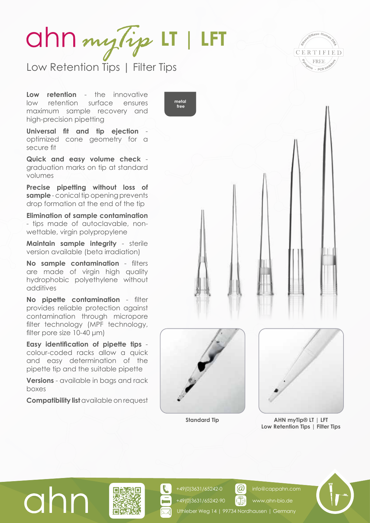## **LT | LFT**

Low Retention Tips | Filter Tips



**Low retention** - the innovative low retention surface ensures maximum sample recovery and high-precision pipetting

**Universal fit and tip ejection** optimized cone geometry for a secure fit

**Quick and easy volume check** graduation marks on tip at standard volumes

**Precise pipetting without loss of sample** - conical tip opening prevents drop formation at the end of the tip

**Elimination of sample contamination** - tips made of autoclavable, nonwettable, virgin polypropylene

**Maintain sample integrity** - sterile version available (beta irradiation)

**No sample contamination** - filters are made of virgin high quality hydrophobic polyethylene without additives

**No pipette contamination** - filter provides reliable protection against contamination through micropore filter technology (MPF technology, filter pore size 10-40 μm)

**Easy identification of pipette tips** colour-coded racks allow a quick and easy determination of the pipette tip and the suitable pipette

**Versions** - available in bags and rack boxes

**Compatibility list** available on request





+49(0)3631/65242-0 +49(0)3631/65242-90



**Standard Tip AHN myTip® LT | LFT Low Retention Tips | Filter Tips**





## Uthleber Weg 14 | 99734 Nordhausen | Germany